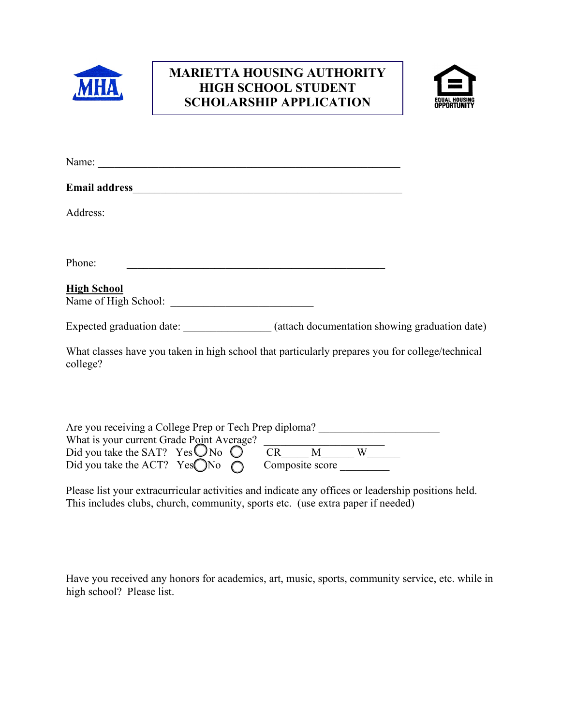

# **SCHOLARSHIP APPLICATIONMARIETTA HOUSING AUTHORITY HIGH SCHOOL STUDENT**



| Address:<br>Phone:<br><u> 1989 - Jan James James Barnett, martin de filosofoar (h. 1989).</u><br><b>High School</b><br>Expected graduation date: (attach documentation showing graduation date)<br>What classes have you taken in high school that particularly prepares you for college/technical<br>college?<br>Are you receiving a College Prep or Tech Prep diploma? _________________________ |                                           |  |
|----------------------------------------------------------------------------------------------------------------------------------------------------------------------------------------------------------------------------------------------------------------------------------------------------------------------------------------------------------------------------------------------------|-------------------------------------------|--|
|                                                                                                                                                                                                                                                                                                                                                                                                    |                                           |  |
|                                                                                                                                                                                                                                                                                                                                                                                                    |                                           |  |
|                                                                                                                                                                                                                                                                                                                                                                                                    |                                           |  |
|                                                                                                                                                                                                                                                                                                                                                                                                    |                                           |  |
|                                                                                                                                                                                                                                                                                                                                                                                                    |                                           |  |
|                                                                                                                                                                                                                                                                                                                                                                                                    |                                           |  |
|                                                                                                                                                                                                                                                                                                                                                                                                    |                                           |  |
|                                                                                                                                                                                                                                                                                                                                                                                                    | What is your current Grade Point Average? |  |

| What is your current Grade Point Average?          |  |                 |  |
|----------------------------------------------------|--|-----------------|--|
| Did you take the SAT? Yes $\bigcirc$ No $\bigcirc$ |  |                 |  |
| Did you take the ACT? Yes $\bigcirc$ No $\bigcirc$ |  | Composite score |  |

Please list your extracurricular activities and indicate any offices or leadership positions held. This includes clubs, church, community, sports etc. (use extra paper if needed)

Have you received any honors for academics, art, music, sports, community service, etc. while in high school? Please list.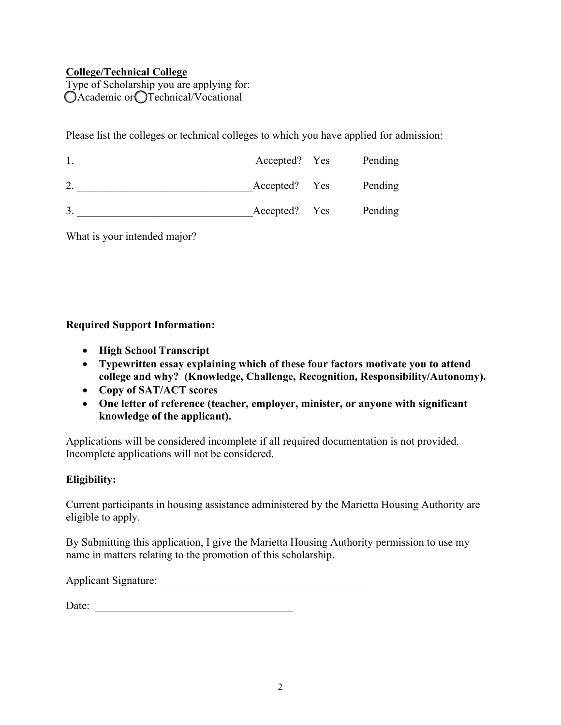### **College/Technical College**

Type of Scholarship you are applying for:  $O$ Academic or  $O$ Technical/Vocational

Please list the colleges or technical colleges to which you have applied for admission:

|    | Accepted? Yes |     | Pending |
|----|---------------|-----|---------|
|    | Accepted? Yes |     | Pending |
| 3. | Accepted?     | Yes | Pending |

What is your intended major?

### **Required Support Information:**

- **High School Transcript**
- **Typewritten essay explaining which of these four factors motivate you to attend college and why? (Knowledge, Challenge, Recognition, Responsibility/Autonomy).**
- **Copy of SAT/ACT scores**
- **One letter of reference (teacher, employer, minister, or anyone with significant knowledge of the applicant).**

Applications will be considered incomplete if all required documentation is not provided. Incomplete applications will not be considered.

## **Eligibility:**

Current participants in housing assistance administered by the Marietta Housing Authority are eligible to apply.

By Submitting this application, I give the Marietta Housing Authority permission to use my name in matters relating to the promotion of this scholarship.

Applicant Signature: \_\_\_\_\_\_\_\_\_\_\_\_\_\_\_\_\_\_\_\_\_\_\_\_\_\_\_\_\_\_\_\_\_\_\_\_\_

Date: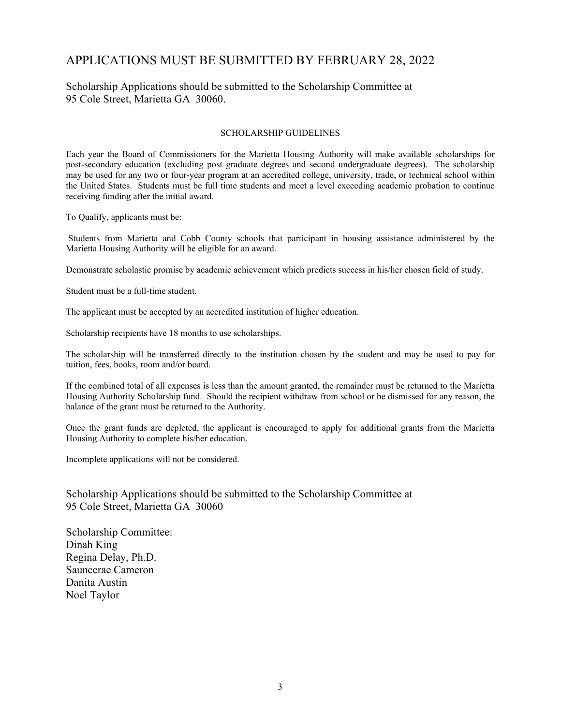## APPLICATIONS MUST BE SUBMITTED BY FEBRUARY 28, 2022

#### Scholarship Applications should be submitted to the Scholarship Committee at 95 Cole Street, Marietta GA 30060.

#### SCHOLARSHIP GUIDELINES

Each year the Board of Commissioners for the Marietta Housing Authority will make available scholarships for post-secondary education (excluding post graduate degrees and second undergraduate degrees). The scholarship may be used for any two or four-year program at an accredited college, university, trade, or technical school within the United States. Students must be full time students and meet a level exceeding academic probation to continue receiving funding after the initial award.

To Qualify, applicants must be:

Students from Marietta and Cobb County schools that participant in housing assistance administered by the Marietta Housing Authority will be eligible for an award.

Demonstrate scholastic promise by academic achievement which predicts success in his/her chosen field of study.

Student must be a full-time student.

The applicant must be accepted by an accredited institution of higher education.

Scholarship recipients have 18 months to use scholarships.

The scholarship will be transferred directly to the institution chosen by the student and may be used to pay for tuition, fees, books, room and/or board.

If the combined total of all expenses is less than the amount granted, the remainder must be returned to the Marietta Housing Authority Scholarship fund. Should the recipient withdraw from school or be dismissed for any reason, the balance of the grant must be returned to the Authority.

Once the grant funds are depleted, the applicant is encouraged to apply for additional grants from the Marietta Housing Authority to complete his/her education.

Incomplete applications will not be considered.

Scholarship Applications should be submitted to the Scholarship Committee at 95 Cole Street, Marietta GA 30060

Scholarship Committee: Dinah King Regina Delay, Ph.D. Sauncerae Cameron Danita Austin Noel Taylor